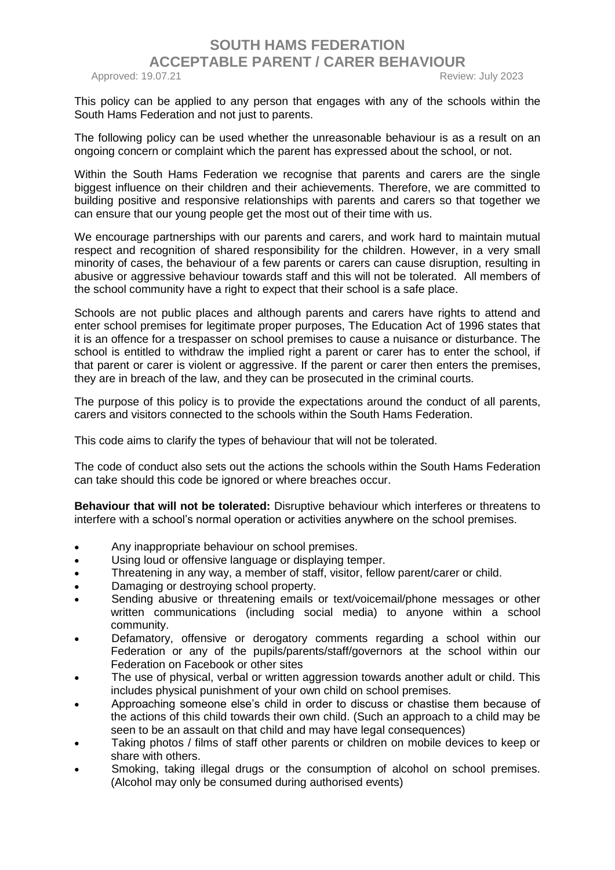## **SOUTH HAMS FEDERATION ACCEPTABLE PARENT / CARER BEHAVIOUR**  Approved: 19.07.21 **Review: July 2023**

This policy can be applied to any person that engages with any of the schools within the South Hams Federation and not just to parents.

The following policy can be used whether the unreasonable behaviour is as a result on an ongoing concern or complaint which the parent has expressed about the school, or not.

Within the South Hams Federation we recognise that parents and carers are the single biggest influence on their children and their achievements. Therefore, we are committed to building positive and responsive relationships with parents and carers so that together we can ensure that our young people get the most out of their time with us.

We encourage partnerships with our parents and carers, and work hard to maintain mutual respect and recognition of shared responsibility for the children. However, in a very small minority of cases, the behaviour of a few parents or carers can cause disruption, resulting in abusive or aggressive behaviour towards staff and this will not be tolerated. All members of the school community have a right to expect that their school is a safe place.

Schools are not public places and although parents and carers have rights to attend and enter school premises for legitimate proper purposes, The Education Act of 1996 states that it is an offence for a trespasser on school premises to cause a nuisance or disturbance. The school is entitled to withdraw the implied right a parent or carer has to enter the school, if that parent or carer is violent or aggressive. If the parent or carer then enters the premises, they are in breach of the law, and they can be prosecuted in the criminal courts.

The purpose of this policy is to provide the expectations around the conduct of all parents, carers and visitors connected to the schools within the South Hams Federation.

This code aims to clarify the types of behaviour that will not be tolerated.

The code of conduct also sets out the actions the schools within the South Hams Federation can take should this code be ignored or where breaches occur.

**Behaviour that will not be tolerated:** Disruptive behaviour which interferes or threatens to interfere with a school's normal operation or activities anywhere on the school premises.

- Any inappropriate behaviour on school premises.
- Using loud or offensive language or displaying temper.
- Threatening in any way, a member of staff, visitor, fellow parent/carer or child.
- Damaging or destroying school property.
- Sending abusive or threatening emails or text/voicemail/phone messages or other written communications (including social media) to anyone within a school community.
- Defamatory, offensive or derogatory comments regarding a school within our Federation or any of the pupils/parents/staff/governors at the school within our Federation on Facebook or other sites
- The use of physical, verbal or written aggression towards another adult or child. This includes physical punishment of your own child on school premises.
- Approaching someone else's child in order to discuss or chastise them because of the actions of this child towards their own child. (Such an approach to a child may be seen to be an assault on that child and may have legal consequences)
- Taking photos / films of staff other parents or children on mobile devices to keep or share with others.
- Smoking, taking illegal drugs or the consumption of alcohol on school premises. (Alcohol may only be consumed during authorised events)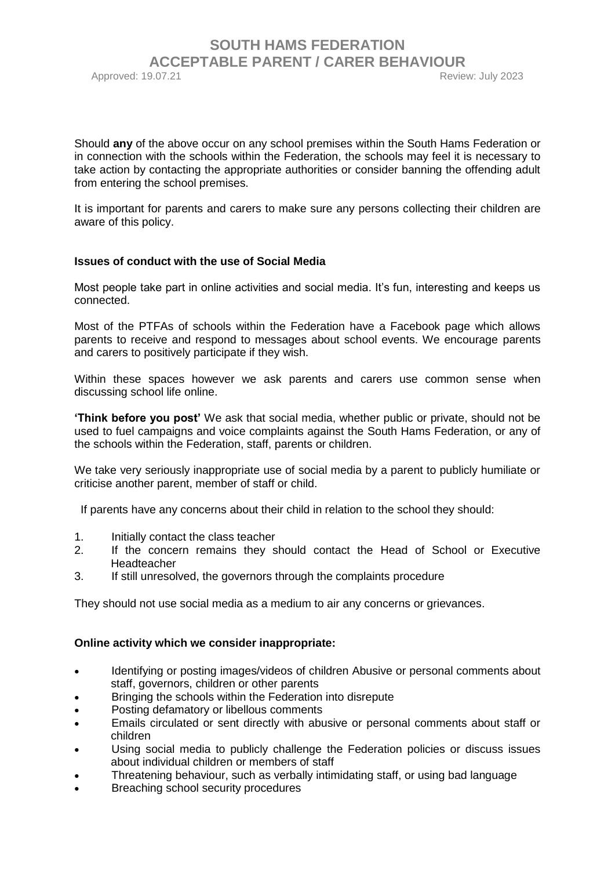## **SOUTH HAMS FEDERATION ACCEPTABLE PARENT / CARER BEHAVIOUR**  Approved: 19.07.21 **Approved: 19.07.21 Review: July 2023**

Should **any** of the above occur on any school premises within the South Hams Federation or in connection with the schools within the Federation, the schools may feel it is necessary to take action by contacting the appropriate authorities or consider banning the offending adult from entering the school premises.

It is important for parents and carers to make sure any persons collecting their children are aware of this policy.

#### **Issues of conduct with the use of Social Media**

Most people take part in online activities and social media. It's fun, interesting and keeps us connected.

Most of the PTFAs of schools within the Federation have a Facebook page which allows parents to receive and respond to messages about school events. We encourage parents and carers to positively participate if they wish.

Within these spaces however we ask parents and carers use common sense when discussing school life online.

**'Think before you post'** We ask that social media, whether public or private, should not be used to fuel campaigns and voice complaints against the South Hams Federation, or any of the schools within the Federation, staff, parents or children.

We take very seriously inappropriate use of social media by a parent to publicly humiliate or criticise another parent, member of staff or child.

If parents have any concerns about their child in relation to the school they should:

- 1. Initially contact the class teacher
- 2. If the concern remains they should contact the Head of School or Executive Headteacher
- 3. If still unresolved, the governors through the complaints procedure

They should not use social media as a medium to air any concerns or grievances.

#### **Online activity which we consider inappropriate:**

- Identifying or posting images/videos of children Abusive or personal comments about staff, governors, children or other parents
- Bringing the schools within the Federation into disrepute
- Posting defamatory or libellous comments
- Emails circulated or sent directly with abusive or personal comments about staff or children
- Using social media to publicly challenge the Federation policies or discuss issues about individual children or members of staff
- Threatening behaviour, such as verbally intimidating staff, or using bad language
- Breaching school security procedures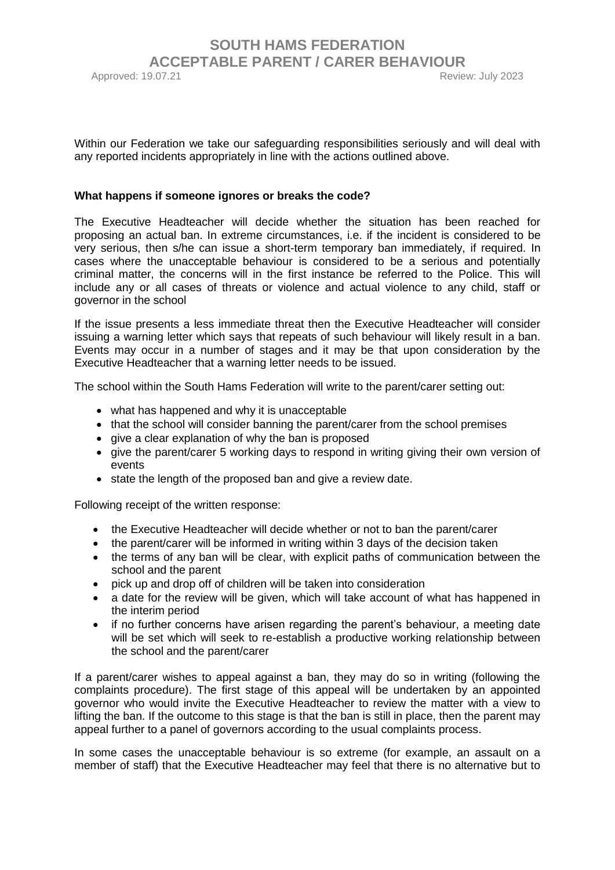## **SOUTH HAMS FEDERATION ACCEPTABLE PARENT / CARER BEHAVIOUR**  Approved: 19.07.21 Review: July 2023

Within our Federation we take our safeguarding responsibilities seriously and will deal with any reported incidents appropriately in line with the actions outlined above.

#### **What happens if someone ignores or breaks the code?**

The Executive Headteacher will decide whether the situation has been reached for proposing an actual ban. In extreme circumstances, i.e. if the incident is considered to be very serious, then s/he can issue a short-term temporary ban immediately, if required. In cases where the unacceptable behaviour is considered to be a serious and potentially criminal matter, the concerns will in the first instance be referred to the Police. This will include any or all cases of threats or violence and actual violence to any child, staff or governor in the school

If the issue presents a less immediate threat then the Executive Headteacher will consider issuing a warning letter which says that repeats of such behaviour will likely result in a ban. Events may occur in a number of stages and it may be that upon consideration by the Executive Headteacher that a warning letter needs to be issued.

The school within the South Hams Federation will write to the parent/carer setting out:

- what has happened and why it is unacceptable
- that the school will consider banning the parent/carer from the school premises
- give a clear explanation of why the ban is proposed
- give the parent/carer 5 working days to respond in writing giving their own version of events
- state the length of the proposed ban and give a review date.

Following receipt of the written response:

- the Executive Headteacher will decide whether or not to ban the parent/carer
- the parent/carer will be informed in writing within 3 days of the decision taken
- the terms of any ban will be clear, with explicit paths of communication between the school and the parent
- pick up and drop off of children will be taken into consideration
- a date for the review will be given, which will take account of what has happened in the interim period
- if no further concerns have arisen regarding the parent's behaviour, a meeting date will be set which will seek to re-establish a productive working relationship between the school and the parent/carer

If a parent/carer wishes to appeal against a ban, they may do so in writing (following the complaints procedure). The first stage of this appeal will be undertaken by an appointed governor who would invite the Executive Headteacher to review the matter with a view to lifting the ban. If the outcome to this stage is that the ban is still in place, then the parent may appeal further to a panel of governors according to the usual complaints process.

In some cases the unacceptable behaviour is so extreme (for example, an assault on a member of staff) that the Executive Headteacher may feel that there is no alternative but to